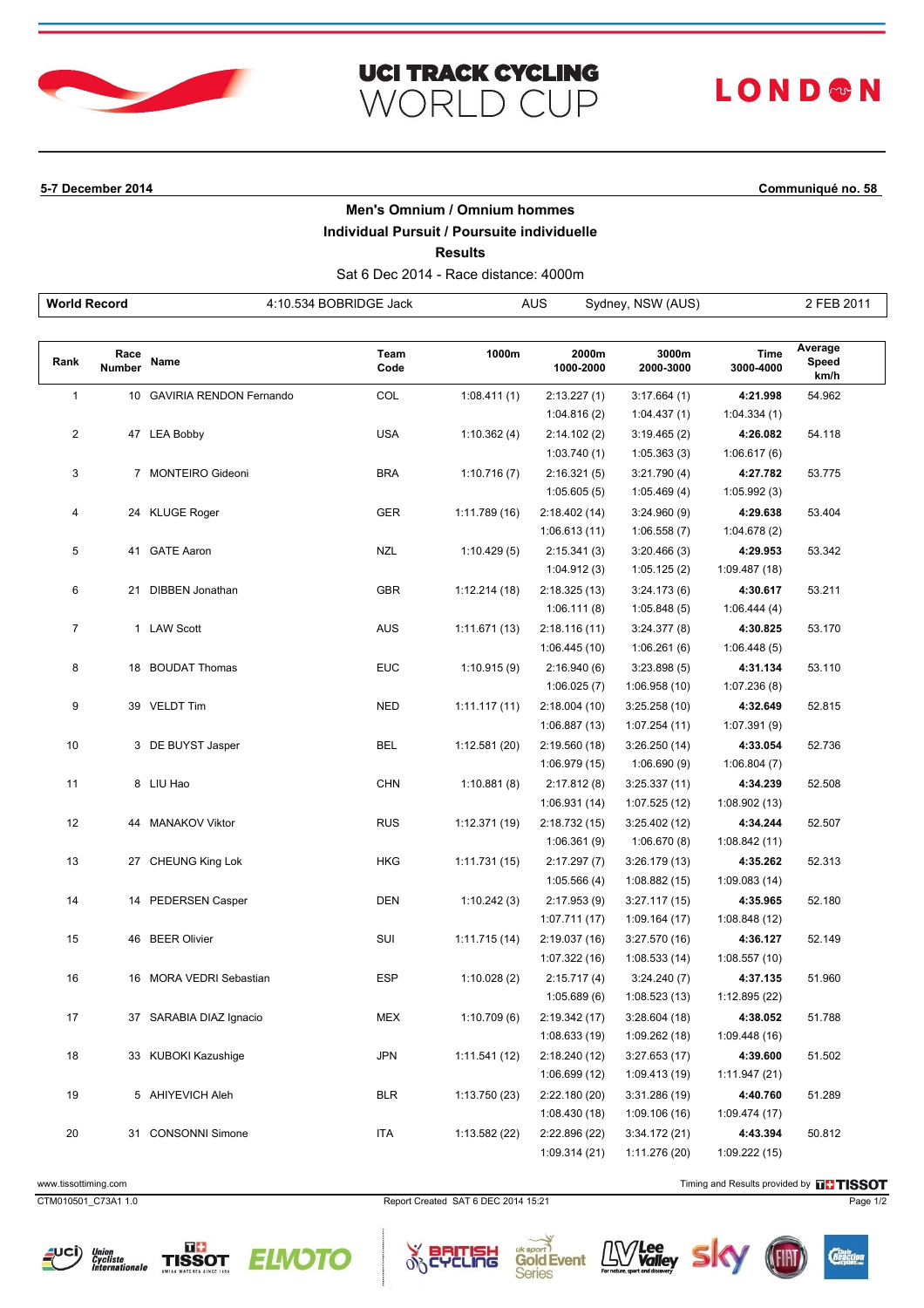

## **UCI TRACK CYCLING WORLD CUP**

# **LOND®N**

### **5-7 December 2014 Communiqué no. 58**

#### **Men's Omnium / Omnium hommes**

### **Individual Pursuit / Poursuite individuelle**

**Results**

Sat 6 Dec 2014 - Race distance: 4000m

| <b>World Record</b> |                       |                            | 4:10.534 BOBRIDGE Jack | <b>AUS</b><br>Sydney, NSW (AUS) |                    |                    |                   | 2 FEB 2011               |  |
|---------------------|-----------------------|----------------------------|------------------------|---------------------------------|--------------------|--------------------|-------------------|--------------------------|--|
|                     |                       |                            |                        |                                 |                    |                    |                   |                          |  |
| Rank                | Race<br><b>Number</b> | Name                       | Team<br>Code           | 1000m                           | 2000m<br>1000-2000 | 3000m<br>2000-3000 | Time<br>3000-4000 | Average<br>Speed<br>km/h |  |
| $\mathbf{1}$        |                       | 10 GAVIRIA RENDON Fernando | COL                    | 1:08.411(1)                     | 2:13.227(1)        | 3:17.664(1)        | 4:21.998          | 54.962                   |  |
|                     |                       |                            |                        |                                 | 1:04.816(2)        | 1:04.437(1)        | 1:04.334(1)       |                          |  |
| $\overline{2}$      |                       | 47 LEA Bobby               | <b>USA</b>             | 1:10.362(4)                     | 2:14.102(2)        | 3:19.465(2)        | 4:26.082          | 54.118                   |  |
|                     |                       |                            |                        |                                 | 1:03.740(1)        | 1:05.363(3)        | 1:06.617(6)       |                          |  |
| 3                   |                       | 7 MONTEIRO Gideoni         | <b>BRA</b>             | 1:10.716(7)                     | 2:16.321(5)        | 3:21.790(4)        | 4:27.782          | 53.775                   |  |
|                     |                       |                            |                        |                                 | 1:05.605(5)        | 1:05.469(4)        | 1:05.992(3)       |                          |  |
| 4                   |                       | 24 KLUGE Roger             | GER                    | 1:11.789(16)                    | 2:18.402 (14)      | 3:24.960(9)        | 4:29.638          | 53.404                   |  |
|                     |                       |                            |                        |                                 | 1:06.613(11)       | 1:06.558(7)        | 1:04.678(2)       |                          |  |
| 5                   |                       | 41 GATE Aaron              | NZL                    | 1:10.429(5)                     | 2:15.341(3)        | 3:20.466(3)        | 4:29.953          | 53.342                   |  |
|                     |                       |                            |                        |                                 | 1:04.912(3)        | 1:05.125(2)        | 1:09.487 (18)     |                          |  |
| 6                   |                       | 21 DIBBEN Jonathan         | <b>GBR</b>             | 1:12.214(18)                    | 2:18.325 (13)      | 3:24.173(6)        | 4:30.617          | 53.211                   |  |
|                     |                       |                            |                        |                                 | 1:06.111(8)        | 1:05.848(5)        | 1:06.444(4)       |                          |  |
| $\overline{7}$      |                       | 1 LAW Scott                | <b>AUS</b>             | 1:11.671 (13)                   | 2:18.116(11)       | 3:24.377 (8)       | 4:30.825          | 53.170                   |  |
|                     |                       |                            |                        |                                 | 1:06.445(10)       | 1:06.261(6)        | 1:06.448(5)       |                          |  |
| 8                   |                       | 18 BOUDAT Thomas           | <b>EUC</b>             | 1:10.915(9)                     | 2:16.940(6)        | 3:23.898(5)        | 4:31.134          | 53.110                   |  |
|                     |                       |                            |                        |                                 | 1:06.025(7)        | 1:06.958(10)       | 1:07.236(8)       |                          |  |
| 9                   |                       | 39 VELDT Tim               | NED                    | 1:11.117(11)                    | 2:18.004 (10)      | 3:25.258(10)       | 4:32.649          | 52.815                   |  |
|                     |                       |                            |                        |                                 | 1:06.887(13)       | 1:07.254(11)       | 1:07.391(9)       |                          |  |
| 10                  |                       | 3 DE BUYST Jasper          | BEL                    | 1:12.581 (20)                   | 2:19.560 (18)      | 3:26.250(14)       | 4:33.054          | 52.736                   |  |
|                     |                       |                            |                        |                                 | 1:06.979 (15)      | 1:06.690(9)        | 1:06.804(7)       |                          |  |
| 11                  |                       | 8 LIU Hao                  | <b>CHN</b>             | 1:10.881(8)                     | 2:17.812(8)        | 3:25.337(11)       | 4:34.239          | 52.508                   |  |
|                     |                       |                            |                        |                                 | 1:06.931 (14)      | 1:07.525(12)       | 1:08.902 (13)     |                          |  |
| 12                  |                       | 44 MANAKOV Viktor          | <b>RUS</b>             | 1:12.371 (19)                   | 2:18.732 (15)      | 3:25.402(12)       | 4:34.244          | 52.507                   |  |
|                     |                       |                            |                        |                                 | 1:06.361(9)        | 1:06.670(8)        | 1:08.842 (11)     |                          |  |
| 13                  |                       | 27 CHEUNG King Lok         | <b>HKG</b>             | 1:11.731 (15)                   | 2:17.297(7)        | 3:26.179(13)       | 4:35.262          | 52.313                   |  |
|                     |                       |                            |                        |                                 | 1:05.566(4)        | 1:08.882(15)       | 1:09.083(14)      |                          |  |
| 14                  |                       | 14 PEDERSEN Casper         | <b>DEN</b>             | 1:10.242(3)                     | 2:17.953(9)        | 3:27.117(15)       | 4:35.965          | 52.180                   |  |
|                     |                       |                            |                        |                                 | 1:07.711(17)       | 1:09.164(17)       | 1:08.848 (12)     |                          |  |
| 15                  |                       | 46 BEER Olivier            | SUI                    | 1:11.715 (14)                   | 2:19.037 (16)      | 3:27.570 (16)      | 4:36.127          | 52.149                   |  |
|                     |                       |                            |                        |                                 | 1:07.322 (16)      | 1:08.533(14)       | 1:08.557(10)      |                          |  |
| 16                  |                       | 16 MORA VEDRI Sebastian    | ESP                    | 1:10.028(2)                     | 2:15.717(4)        | 3:24.240(7)        | 4:37.135          | 51.960                   |  |
|                     |                       |                            |                        |                                 | 1:05.689(6)        | 1:08.523(13)       | 1:12.895 (22)     |                          |  |
| 17                  |                       | 37 SARABIA DIAZ Ignacio    | MEX                    | 1:10.709(6)                     | 2:19.342 (17)      | 3:28.604(18)       | 4:38.052          | 51.788                   |  |
|                     |                       |                            |                        |                                 | 1:08.633 (19)      | 1:09.262(18)       | 1:09.448 (16)     |                          |  |
| 18                  |                       | 33 KUBOKI Kazushige        | <b>JPN</b>             | 1:11.541(12)                    | 2:18.240 (12)      | 3:27.653(17)       | 4:39.600          | 51.502                   |  |
|                     |                       |                            |                        |                                 | 1:06.699 (12)      | 1:09.413 (19)      | 1:11.947(21)      |                          |  |
| 19                  |                       | 5 AHIYEVICH Aleh           | <b>BLR</b>             | 1:13.750 (23)                   | 2:22.180 (20)      | 3:31.286 (19)      | 4:40.760          | 51.289                   |  |
|                     |                       |                            |                        |                                 | 1:08.430 (18)      | 1:09.106(16)       | 1:09.474 (17)     |                          |  |
| 20                  |                       | 31 CONSONNI Simone         | <b>ITA</b>             | 1:13.582 (22)                   | 2:22.896 (22)      | 3:34.172(21)       | 4:43.394          | 50.812                   |  |
|                     |                       |                            |                        |                                 | 1:09.314 (21)      | 1:11.276 (20)      | 1:09.222 (15)     |                          |  |

TISSOT





CTM010501\_C73A1 1.0 Report Created SAT 6 DEC 2014 15:21 Page 1/2

 $\alpha$ ٦Ġ